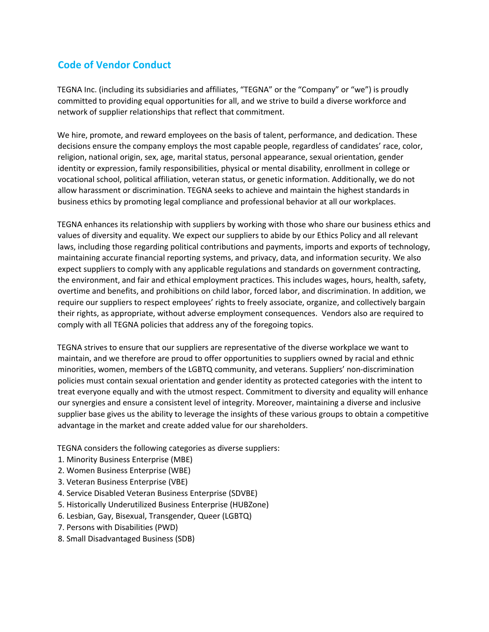## **Code of Vendor Conduct**

TEGNA Inc. (including its subsidiaries and affiliates, "TEGNA" or the "Company" or "we") is proudly committed to providing equal opportunities for all, and we strive to build a diverse workforce and network of supplier relationships that reflect that commitment.

We hire, promote, and reward employees on the basis of talent, performance, and dedication. These decisions ensure the company employs the most capable people, regardless of candidates' race, color, religion, national origin, sex, age, marital status, personal appearance, sexual orientation, gender identity or expression, family responsibilities, physical or mental disability, enrollment in college or vocational school, political affiliation, veteran status, or genetic information. Additionally, we do not allow harassment or discrimination. TEGNA seeks to achieve and maintain the highest standards in business ethics by promoting legal compliance and professional behavior at all our workplaces.

TEGNA enhances its relationship with suppliers by working with those who share our business ethics and values of diversity and equality. We expect our suppliers to abide by our Ethics Policy and all relevant laws, including those regarding political contributions and payments, imports and exports of technology, maintaining accurate financial reporting systems, and privacy, data, and information security. We also expect suppliers to comply with any applicable regulations and standards on government contracting, the environment, and fair and ethical employment practices. This includes wages, hours, health, safety, overtime and benefits, and prohibitions on child labor, forced labor, and discrimination. In addition, we require our suppliers to respect employees' rights to freely associate, organize, and collectively bargain their rights, as appropriate, without adverse employment consequences. Vendors also are required to comply with all TEGNA policies that address any of the foregoing topics.

TEGNA strives to ensure that our suppliers are representative of the diverse workplace we want to maintain, and we therefore are proud to offer opportunities to suppliers owned by racial and ethnic minorities, women, members of the LGBTQ community, and veterans. Suppliers' non-discrimination policies must contain sexual orientation and gender identity as protected categories with the intent to treat everyone equally and with the utmost respect. Commitment to diversity and equality will enhance our synergies and ensure a consistent level of integrity. Moreover, maintaining a diverse and inclusive supplier base gives us the ability to leverage the insights of these various groups to obtain a competitive advantage in the market and create added value for our shareholders.

TEGNA considers the following categories as diverse suppliers:

- 1. Minority Business Enterprise (MBE)
- 2. Women Business Enterprise (WBE)
- 3. Veteran Business Enterprise (VBE)
- 4. Service Disabled Veteran Business Enterprise (SDVBE)
- 5. Historically Underutilized Business Enterprise (HUBZone)
- 6. Lesbian, Gay, Bisexual, Transgender, Queer (LGBTQ)
- 7. Persons with Disabilities (PWD)
- 8. Small Disadvantaged Business (SDB)